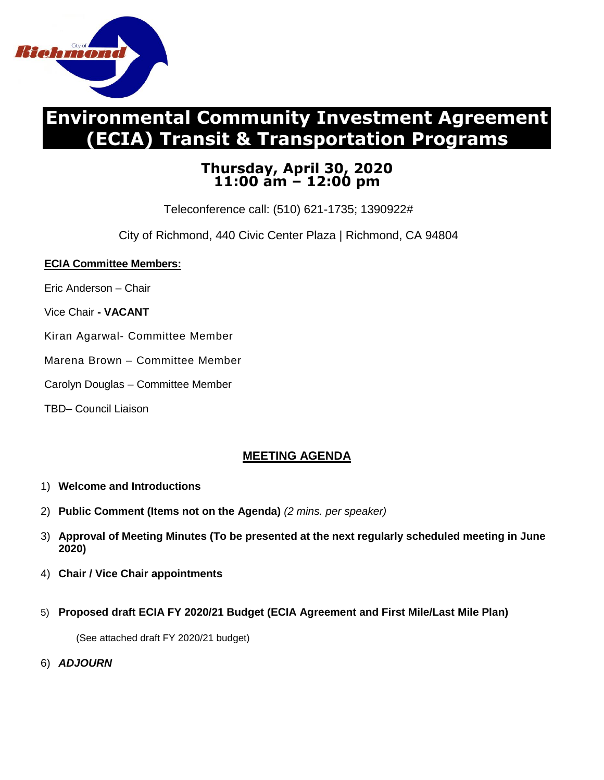

# **Environmental Community Investment Agreement (ECIA) Transit & Transportation Programs**

## **Thursday, April 30, 2020 11:00 am – 12:00 pm**

Teleconference call: (510) 621-1735; 1390922#

City of Richmond, 440 Civic Center Plaza | Richmond, CA 94804

#### **ECIA Committee Members:**

- Eric Anderson Chair
- Vice Chair **- VACANT**
- Kiran Agarwal- Committee Member
- Marena Brown Committee Member
- Carolyn Douglas Committee Member
- TBD– Council Liaison

### **MEETING AGENDA**

- 1) **Welcome and Introductions**
- 2) **Public Comment (Items not on the Agenda)** *(2 mins. per speaker)*
- 3) **Approval of Meeting Minutes (To be presented at the next regularly scheduled meeting in June 2020)**
- 4) **Chair / Vice Chair appointments**
- 5) **Proposed draft ECIA FY 2020/21 Budget (ECIA Agreement and First Mile/Last Mile Plan)**

(See attached draft FY 2020/21 budget)

6) *ADJOURN*